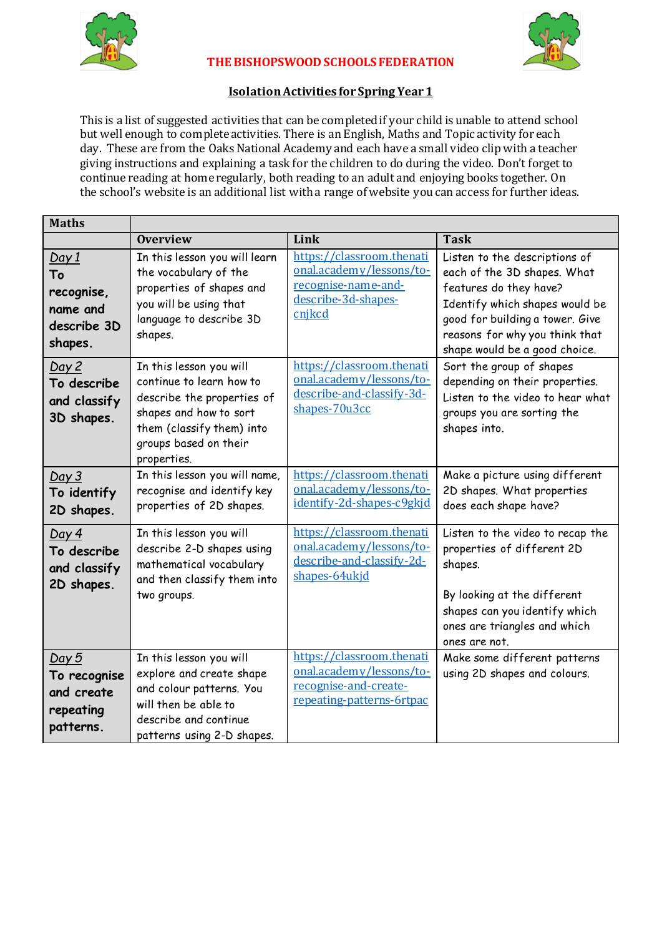



## **THE BISHOPSWOOD SCHOOLS FEDERATION**

## **Isolation Activities for Spring Year 1**

This is a list of suggested activities that can be completed if your child is unable to attend school but well enough to complete activities. There is an English, Maths and Topic activity for each day. These are from the Oaks National Academy and each have a small video clip with a teacher giving instructions and explaining a task for the children to do during the video. Don't forget to continue reading at home regularly, both reading to an adult and enjoying books together. On the school's website is an additional list with a range of website you can access for further ideas.

| <b>Maths</b>                                                                                                                 |                                                                                                                                                                                                                                                                                                                                        |                                                                                                                                                                                                                      |                                                                                                                                                                                                                                                                                                                                                                                |
|------------------------------------------------------------------------------------------------------------------------------|----------------------------------------------------------------------------------------------------------------------------------------------------------------------------------------------------------------------------------------------------------------------------------------------------------------------------------------|----------------------------------------------------------------------------------------------------------------------------------------------------------------------------------------------------------------------|--------------------------------------------------------------------------------------------------------------------------------------------------------------------------------------------------------------------------------------------------------------------------------------------------------------------------------------------------------------------------------|
|                                                                                                                              | <b>Overview</b>                                                                                                                                                                                                                                                                                                                        | Link                                                                                                                                                                                                                 | <b>Task</b>                                                                                                                                                                                                                                                                                                                                                                    |
| <u>Day 1</u><br>To<br>recognise,<br>name and<br>describe 3D<br>shapes.<br>Day 2<br>To describe<br>and classify<br>3D shapes. | In this lesson you will learn<br>the vocabulary of the<br>properties of shapes and<br>you will be using that<br>language to describe 3D<br>shapes.<br>In this lesson you will<br>continue to learn how to<br>describe the properties of<br>shapes and how to sort<br>them (classify them) into<br>groups based on their<br>properties. | https://classroom.thenati<br>onal.academy/lessons/to-<br>recognise-name-and-<br>describe-3d-shapes-<br>cnjkcd<br>https://classroom.thenati<br>onal.academy/lessons/to-<br>describe-and-classify-3d-<br>shapes-70u3cc | Listen to the descriptions of<br>each of the 3D shapes. What<br>features do they have?<br>Identify which shapes would be<br>good for building a tower. Give<br>reasons for why you think that<br>shape would be a good choice.<br>Sort the group of shapes<br>depending on their properties.<br>Listen to the video to hear what<br>groups you are sorting the<br>shapes into. |
| Day 3<br>To identify<br>2D shapes.                                                                                           | In this lesson you will name,<br>recognise and identify key<br>properties of 2D shapes.                                                                                                                                                                                                                                                | https://classroom.thenati<br>onal.academy/lessons/to-<br>identify-2d-shapes-c9gkjd                                                                                                                                   | Make a picture using different<br>2D shapes. What properties<br>does each shape have?                                                                                                                                                                                                                                                                                          |
| Day 4<br>To describe<br>and classify<br>2D shapes.                                                                           | In this lesson you will<br>describe 2-D shapes using<br>mathematical vocabulary<br>and then classify them into<br>two groups.                                                                                                                                                                                                          | https://classroom.thenati<br>onal.academy/lessons/to-<br>describe-and-classify-2d-<br>shapes-64ukjd                                                                                                                  | Listen to the video to recap the<br>properties of different 2D<br>shapes.<br>By looking at the different<br>shapes can you identify which<br>ones are triangles and which<br>ones are not.                                                                                                                                                                                     |
| Day 5<br>To recognise<br>and create<br>repeating<br>patterns.                                                                | In this lesson you will<br>explore and create shape<br>and colour patterns. You<br>will then be able to<br>describe and continue<br>patterns using 2-D shapes.                                                                                                                                                                         | https://classroom.thenati<br>onal.academy/lessons/to-<br>recognise-and-create-<br>repeating-patterns-6rtpac                                                                                                          | Make some different patterns<br>using 2D shapes and colours.                                                                                                                                                                                                                                                                                                                   |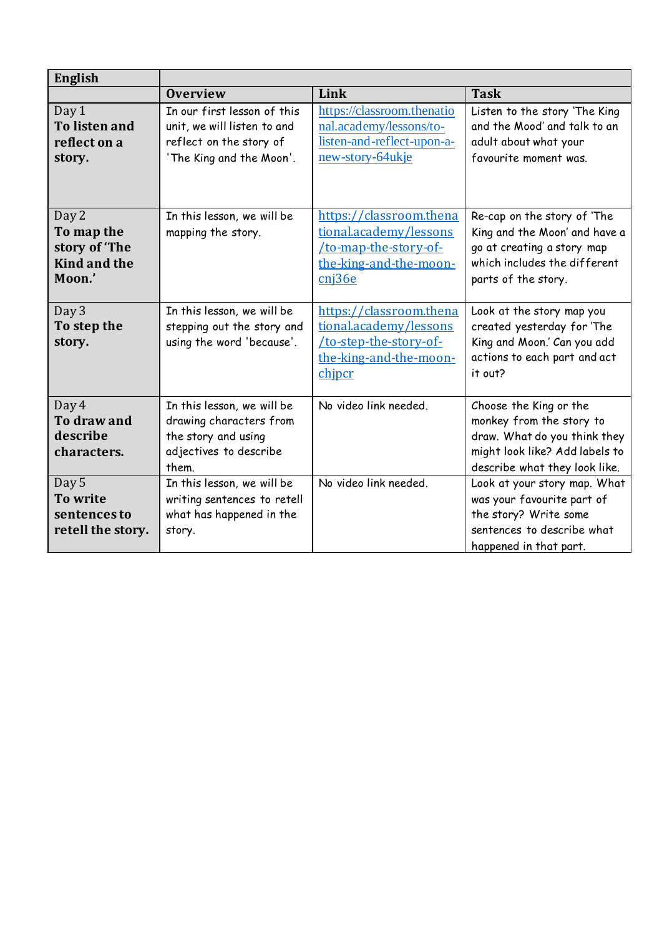| <b>English</b>                                                        |                                                                                                                   |                                                                                                                |                                                                                                                                                       |
|-----------------------------------------------------------------------|-------------------------------------------------------------------------------------------------------------------|----------------------------------------------------------------------------------------------------------------|-------------------------------------------------------------------------------------------------------------------------------------------------------|
|                                                                       | <b>Overview</b>                                                                                                   | Link                                                                                                           | <b>Task</b>                                                                                                                                           |
| Day 1<br><b>To listen and</b><br>reflect on a<br>story.               | In our first lesson of this<br>unit, we will listen to and<br>reflect on the story of<br>'The King and the Moon'. | https://classroom.thenatio<br>nal.academy/lessons/to-<br>listen-and-reflect-upon-a-<br>new-story-64ukje        | Listen to the story 'The King<br>and the Mood' and talk to an<br>adult about what your<br>favourite moment was.                                       |
| Day 2<br>To map the<br>story of 'The<br><b>Kind and the</b><br>Moon.' | In this lesson, we will be<br>mapping the story.                                                                  | https://classroom.thena<br>tional.academy/lessons<br>to-map-the-story-of-<br>the-king-and-the-moon-<br>cni36e  | Re-cap on the story of 'The<br>King and the Moon' and have a<br>go at creating a story map<br>which includes the different<br>parts of the story.     |
| Day 3<br>To step the<br>story.                                        | In this lesson, we will be<br>stepping out the story and<br>using the word 'because'.                             | https://classroom.thena<br>tional.academy/lessons<br>to-step-the-story-of-<br>the-king-and-the-moon-<br>chipcr | Look at the story map you<br>created yesterday for 'The<br>King and Moon.' Can you add<br>actions to each part and act<br>it out?                     |
| Day 4<br>To draw and<br>describe<br>characters.                       | In this lesson, we will be<br>drawing characters from<br>the story and using<br>adjectives to describe<br>them.   | No video link needed.                                                                                          | Choose the King or the<br>monkey from the story to<br>draw. What do you think they<br>might look like? Add labels to<br>describe what they look like. |
| Day 5<br>To write<br>sentences to<br>retell the story.                | In this lesson, we will be<br>writing sentences to retell<br>what has happened in the<br>story.                   | No video link needed.                                                                                          | Look at your story map. What<br>was your favourite part of<br>the story? Write some<br>sentences to describe what<br>happened in that part.           |